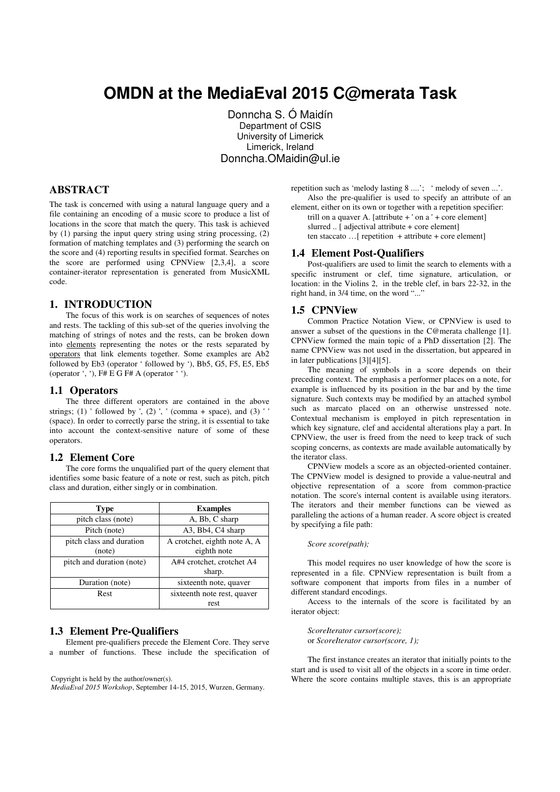# **OMDN at the MediaEval 2015 C@merata Task**

 Donncha S. Ó Maidín Department of CSIS University of Limerick Limerick, Ireland Donncha.OMaidin@ul.ie

# **ABSTRACT**

The task is concerned with using a natural language query and a file containing an encoding of a music score to produce a list of locations in the score that match the query. This task is achieved by (1) parsing the input query string using string processing, (2) formation of matching templates and (3) performing the search on the score and (4) reporting results in specified format. Searches on the score are performed using CPNView [2,3,4], a score container-iterator representation is generated from MusicXML code.

# **1. INTRODUCTION**

The focus of this work is on searches of sequences of notes and rests. The tackling of this sub-set of the queries involving the matching of strings of notes and the rests, can be broken down into elements representing the notes or the rests separated by operators that link elements together. Some examples are Ab2 followed by Eb3 (operator ' followed by '), Bb5, G5, F5, E5, Eb5 (operator ', '), F# E G F# A (operator ' ').

#### **1.1 Operators**

The three different operators are contained in the above strings; (1) ' followed by ', (2) ', ' (comma + space), and (3) (space). In order to correctly parse the string, it is essential to take into account the context-sensitive nature of some of these operators.

## **1.2 Element Core**

The core forms the unqualified part of the query element that identifies some basic feature of a note or rest, such as pitch, pitch class and duration, either singly or in combination.

| <b>Type</b>                        | <b>Examples</b>                             |  |
|------------------------------------|---------------------------------------------|--|
| pitch class (note)                 | A, Bb, C sharp                              |  |
| Pitch (note)                       | A3, Bb4, C4 sharp                           |  |
| pitch class and duration<br>(note) | A crotchet, eighth note A, A<br>eighth note |  |
| pitch and duration (note)          | A#4 crotchet, crotchet A4<br>sharp.         |  |
| Duration (note)                    | sixteenth note, quaver                      |  |
| Rest                               | sixteenth note rest, quaver                 |  |
|                                    | rest                                        |  |

# **1.3 Element Pre-Qualifiers**

Element pre-qualifiers precede the Element Core. They serve a number of functions. These include the specification of

*MediaEval 2015 Workshop*, September 14-15, 2015, Wurzen, Germany.

repetition such as 'melody lasting 8 ....'; ' melody of seven ...'. Also the pre-qualifier is used to specify an attribute of an

element, either on its own or together with a repetition specifier: trill on a quaver A. [attribute  $+$  ' on a '  $+$  core element] slurred .. [ adjectival attribute + core element]

ten staccato …[ repetition + attribute + core element]

#### **1.4 Element Post-Qualifiers**

Post-qualifiers are used to limit the search to elements with a specific instrument or clef, time signature, articulation, or location: in the Violins 2, in the treble clef, in bars 22-32, in the right hand, in 3/4 time, on the word "..."

#### **1.5 CPNView**

Common Practice Notation View, or CPNView is used to answer a subset of the questions in the C@merata challenge [1]. CPNView formed the main topic of a PhD dissertation [2]. The name CPNView was not used in the dissertation, but appeared in in later publications [3][4][5].

The meaning of symbols in a score depends on their preceding context. The emphasis a performer places on a note, for example is influenced by its position in the bar and by the time signature. Such contexts may be modified by an attached symbol such as marcato placed on an otherwise unstressed note. Contextual mechanism is employed in pitch representation in which key signature, clef and accidental alterations play a part. In CPNView, the user is freed from the need to keep track of such scoping concerns, as contexts are made available automatically by the iterator class.

CPNView models a score as an objected-oriented container. The CPNView model is designed to provide a value-neutral and objective representation of a score from common-practice notation. The score's internal content is available using iterators. The iterators and their member functions can be viewed as paralleling the actions of a human reader. A score object is created by specifying a file path:

#### *Score score(path);*

This model requires no user knowledge of how the score is represented in a file. CPNView representation is built from a software component that imports from files in a number of different standard encodings.

Access to the internals of the score is facilitated by an iterator object:

*ScoreIterator cursor(score);* or *ScoreIterator cursor(score, 1);*

The first instance creates an iterator that initially points to the start and is used to visit all of the objects in a score in time order. Copyright is held by the author/owner(s). Where the score contains multiple staves, this is an appropriate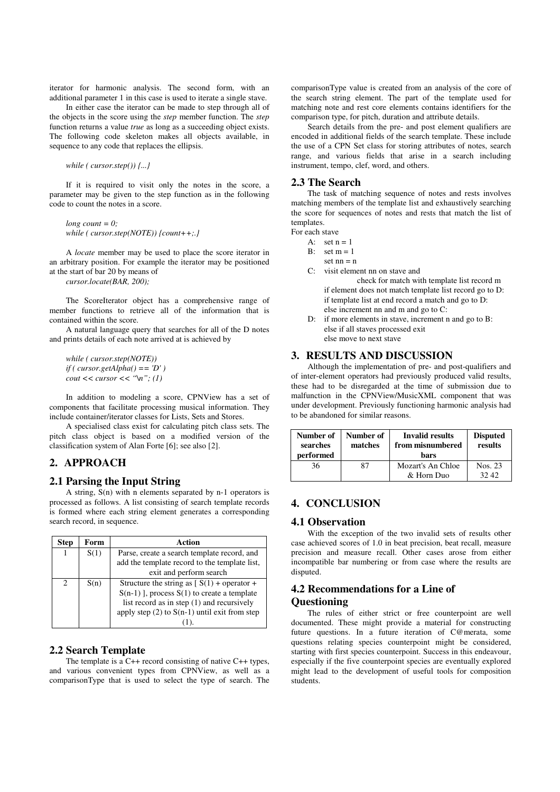iterator for harmonic analysis. The second form, with an additional parameter 1 in this case is used to iterate a single stave.

In either case the iterator can be made to step through all of the objects in the score using the *step* member function. The *step*  function returns a value *true* as long as a succeeding object exists. The following code skeleton makes all objects available, in sequence to any code that replaces the ellipsis.

*while ( cursor.step()) {...}*

If it is required to visit only the notes in the score, a parameter may be given to the step function as in the following code to count the notes in a score.

*long count = 0; while ( cursor.step(NOTE)) {count++;.}*

A *locate* member may be used to place the score iterator in an arbitrary position. For example the iterator may be positioned at the start of bar 20 by means of

*cursor.locate(BAR, 200);*

The ScoreIterator object has a comprehensive range of member functions to retrieve all of the information that is contained within the score.

A natural language query that searches for all of the D notes and prints details of each note arrived at is achieved by

*while ( cursor.step(NOTE)) if ( cursor.getAlpha() == 'D' ) cout << cursor << "\n"; (1)*

In addition to modeling a score, CPNView has a set of components that facilitate processing musical information. They include container/iterator classes for Lists, Sets and Stores.

A specialised class exist for calculating pitch class sets. The pitch class object is based on a modified version of the classification system of Alan Forte [6]; see also [2].

# **2. APPROACH**

# **2.1 Parsing the Input String**

A string, S(n) with n elements separated by n-1 operators is processed as follows. A list consisting of search template records is formed where each string element generates a corresponding search record, in sequence.

| Step          | Form | Action                                            |  |
|---------------|------|---------------------------------------------------|--|
|               | S(1) | Parse, create a search template record, and       |  |
|               |      | add the template record to the template list,     |  |
|               |      | exit and perform search                           |  |
| $\mathcal{D}$ | S(n) | Structure the string as $[S(1) + operator +$      |  |
|               |      | $S(n-1)$ ], process $S(1)$ to create a template   |  |
|               |      | list record as in step (1) and recursively        |  |
|               |      | apply step $(2)$ to $S(n-1)$ until exit from step |  |
|               |      |                                                   |  |

#### **2.2 Search Template**

The template is a  $C++$  record consisting of native  $C++$  types, and various convenient types from CPNView, as well as a comparisonType that is used to select the type of search. The comparisonType value is created from an analysis of the core of the search string element. The part of the template used for matching note and rest core elements contains identifiers for the comparison type, for pitch, duration and attribute details.

Search details from the pre- and post element qualifiers are encoded in additional fields of the search template. These include the use of a CPN Set class for storing attributes of notes, search range, and various fields that arise in a search including instrument, tempo, clef, word, and others.

## **2.3 The Search**

The task of matching sequence of notes and rests involves matching members of the template list and exhaustively searching the score for sequences of notes and rests that match the list of templates.

For each stave

- A:  $set n = 1$
- B: set  $m = 1$
- set  $nn = n$ C: visit element nn on stave and
	- check for match with template list record m if element does not match template list record go to D: if template list at end record a match and go to D: else increment nn and m and go to C:
- D: if more elements in stave, increment n and go to B: else if all staves processed exit else move to next stave

### **3. RESULTS AND DISCUSSION**

Although the implementation of pre- and post-qualifiers and of inter-element operators had previously produced valid results, these had to be disregarded at the time of submission due to malfunction in the CPNView/MusicXML component that was under development. Previously functioning harmonic analysis had to be abandoned for similar reasons.

| Number of<br>searches<br>performed | Number of<br>matches | <b>Invalid results</b><br>from misnumbered<br>bars | <b>Disputed</b><br>results |
|------------------------------------|----------------------|----------------------------------------------------|----------------------------|
| 36                                 | 87                   | Mozart's An Chloe                                  | Nos. 23                    |
|                                    |                      | & Horn Duo                                         | 32.42                      |

# **4. CONCLUSION**

## **4.1 Observation**

With the exception of the two invalid sets of results other case achieved scores of 1.0 in beat precision, beat recall, measure precision and measure recall. Other cases arose from either incompatible bar numbering or from case where the results are disputed.

# **4.2 Recommendations for a Line of Questioning**

The rules of either strict or free counterpoint are well documented. These might provide a material for constructing future questions. In a future iteration of C@merata, some questions relating species counterpoint might be considered, starting with first species counterpoint. Success in this endeavour, especially if the five counterpoint species are eventually explored might lead to the development of useful tools for composition students.